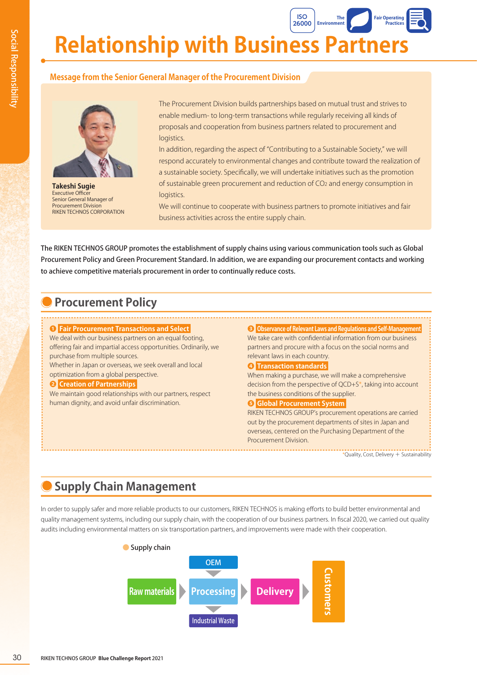**Relationship with Business Partners 26000 Environment Fair Operating Practices**

## **Message from the Senior General Manager of the Procurement Division**



**Takeshi Sugie** Executive Officer Senior General Manager of Procurement Division RIKEN TECHNOS CORPORATION

The Procurement Division builds partnerships based on mutual trust and strives to enable medium- to long-term transactions while regularly receiving all kinds of proposals and cooperation from business partners related to procurement and logistics.

**ISO**

**The** 

In addition, regarding the aspect of "Contributing to a Sustainable Society," we will respond accurately to environmental changes and contribute toward the realization of a sustainable society. Specifically, we will undertake initiatives such as the promotion of sustainable green procurement and reduction of CO2 and energy consumption in logistics.

We will continue to cooperate with business partners to promote initiatives and fair business activities across the entire supply chain.

The RIKEN TECHNOS GROUP promotes the establishment of supply chains using various communication tools such as Global Procurement Policy and Green Procurement Standard. In addition, we are expanding our procurement contacts and working to achieve competitive materials procurement in order to continually reduce costs.

## **Procurement Policy**

#### **❶ Fair Procurement Transactions and Select**

We deal with our business partners on an equal footing, offering fair and impartial access opportunities. Ordinarily, we purchase from multiple sources.

Whether in Japan or overseas, we seek overall and local optimization from a global perspective.

#### **❷ Creation of Partnerships**

We maintain good relationships with our partners, respect human dignity, and avoid unfair discrimination.

**❸ Observance of Relevant Laws and Regulations and Self-Management**  We take care with confidential information from our business partners and procure with a focus on the social norms and relevant laws in each country.

#### **❹ Transaction standards**

When making a purchase, we will make a comprehensive decision from the perspective of QCD+S\*, taking into account the business conditions of the supplier.

#### **❺ Global Procurement System**

RIKEN TECHNOS GROUP's procurement operations are carried out by the procurement departments of sites in Japan and overseas, centered on the Purchasing Department of the Procurement Division.

\*Quality, Cost, Delivery + Sustainability

## **Supply Chain Management**

In order to supply safer and more reliable products to our customers, RIKEN TECHNOS is making efforts to build better environmental and quality management systems, including our supply chain, with the cooperation of our business partners. In fiscal 2020, we carried out quality audits including environmental matters on six transportation partners, and improvements were made with their cooperation.